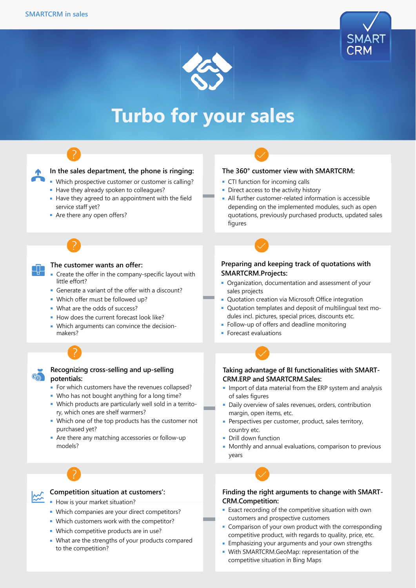



# **Turbo for your sales**



# **In the sales department, the phone is ringing:**

- Which prospective customer or customer is calling?
- Have they already spoken to colleagues?
- Have they agreed to an appointment with the field service staff yet?
- Are there any open offers?

## **The customer wants an offer:**

- Create the offer in the company-specific layout with little effort?
- Generate a variant of the offer with a discount?
- Which offer must be followed up?
- What are the odds of success?
- How does the current forecast look like?
- Which arguments can convince the decisionmakers?

# **Recognizing cross-selling and up-selling**

#### **potentials:**

G

- For which customers have the revenues collapsed?
- Who has not bought anything for a long time?
- Which products are particularly well sold in a territory, which ones are shelf warmers?
- Which one of the top products has the customer not purchased yet?
- Are there any matching accessories or follow-up models?



# **Competition situation at customers':**

- How is your market situation?
- Which companies are your direct competitors?
- Which customers work with the competitor?
- Which competitive products are in use?
- What are the strengths of your products compared to the competition?

#### **The 360° customer view with SMARTCRM:**

- CTI function for incoming calls
- Direct access to the activity history
- All further customer-related information is accessible depending on the implemented modules, such as open quotations, previously purchased products, updated sales figures

## **Preparing and keeping track of quotations with SMARTCRM.Projects:**

- Organization, documentation and assessment of your sales projects
- Quotation creation via Microsoft Office integration
- Quotation templates and deposit of multilingual text modules incl. pictures, special prices, discounts etc.
- Follow-up of offers and deadline monitoring
- Forecast evaluations

#### **Taking advantage of BI functionalities with SMART-CRM.ERP and SMARTCRM.Sales:**

- Import of data material from the ERP system and analysis of sales figures
- Daily overview of sales revenues, orders, contribution margin, open items, etc.
- Perspectives per customer, product, sales territory, country etc.
- Drill down function
- Monthly and annual evaluations, comparison to previous years

#### **Finding the right arguments to change with SMART-CRM.Competition:**

- Exact recording of the competitive situation with own customers and prospective customers
- Comparison of your own product with the corresponding competitive product, with regards to quality, price, etc.
- Emphasizing your arguments and your own strengths
- With SMARTCRM.GeoMap: representation of the competitive situation in Bing Maps